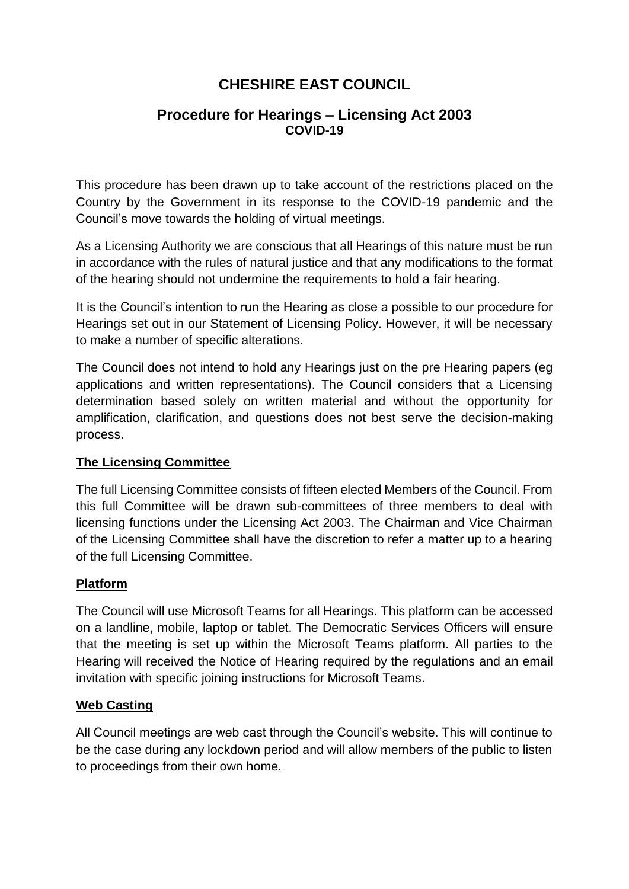# **CHESHIRE EAST COUNCIL**

## **Procedure for Hearings – Licensing Act 2003 COVID-19**

This procedure has been drawn up to take account of the restrictions placed on the Country by the Government in its response to the COVID-19 pandemic and the Council's move towards the holding of virtual meetings.

As a Licensing Authority we are conscious that all Hearings of this nature must be run in accordance with the rules of natural justice and that any modifications to the format of the hearing should not undermine the requirements to hold a fair hearing.

It is the Council's intention to run the Hearing as close a possible to our procedure for Hearings set out in our Statement of Licensing Policy. However, it will be necessary to make a number of specific alterations.

The Council does not intend to hold any Hearings just on the pre Hearing papers (eg applications and written representations). The Council considers that a Licensing determination based solely on written material and without the opportunity for amplification, clarification, and questions does not best serve the decision-making process.

### **The Licensing Committee**

The full Licensing Committee consists of fifteen elected Members of the Council. From this full Committee will be drawn sub-committees of three members to deal with licensing functions under the Licensing Act 2003. The Chairman and Vice Chairman of the Licensing Committee shall have the discretion to refer a matter up to a hearing of the full Licensing Committee.

### **Platform**

The Council will use Microsoft Teams for all Hearings. This platform can be accessed on a landline, mobile, laptop or tablet. The Democratic Services Officers will ensure that the meeting is set up within the Microsoft Teams platform. All parties to the Hearing will received the Notice of Hearing required by the regulations and an email invitation with specific joining instructions for Microsoft Teams.

### **Web Casting**

All Council meetings are web cast through the Council's website. This will continue to be the case during any lockdown period and will allow members of the public to listen to proceedings from their own home.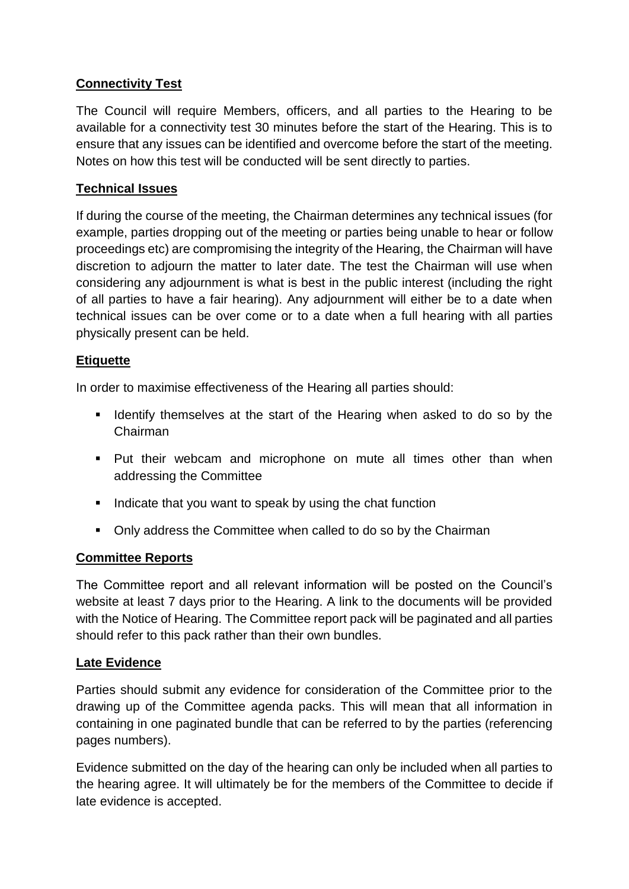# **Connectivity Test**

The Council will require Members, officers, and all parties to the Hearing to be available for a connectivity test 30 minutes before the start of the Hearing. This is to ensure that any issues can be identified and overcome before the start of the meeting. Notes on how this test will be conducted will be sent directly to parties.

### **Technical Issues**

If during the course of the meeting, the Chairman determines any technical issues (for example, parties dropping out of the meeting or parties being unable to hear or follow proceedings etc) are compromising the integrity of the Hearing, the Chairman will have discretion to adjourn the matter to later date. The test the Chairman will use when considering any adjournment is what is best in the public interest (including the right of all parties to have a fair hearing). Any adjournment will either be to a date when technical issues can be over come or to a date when a full hearing with all parties physically present can be held.

#### **Etiquette**

In order to maximise effectiveness of the Hearing all parties should:

- I Identify themselves at the start of the Hearing when asked to do so by the Chairman
- Put their webcam and microphone on mute all times other than when addressing the Committee
- Indicate that you want to speak by using the chat function
- Only address the Committee when called to do so by the Chairman

### **Committee Reports**

The Committee report and all relevant information will be posted on the Council's website at least 7 days prior to the Hearing. A link to the documents will be provided with the Notice of Hearing. The Committee report pack will be paginated and all parties should refer to this pack rather than their own bundles.

#### **Late Evidence**

Parties should submit any evidence for consideration of the Committee prior to the drawing up of the Committee agenda packs. This will mean that all information in containing in one paginated bundle that can be referred to by the parties (referencing pages numbers).

Evidence submitted on the day of the hearing can only be included when all parties to the hearing agree. It will ultimately be for the members of the Committee to decide if late evidence is accepted.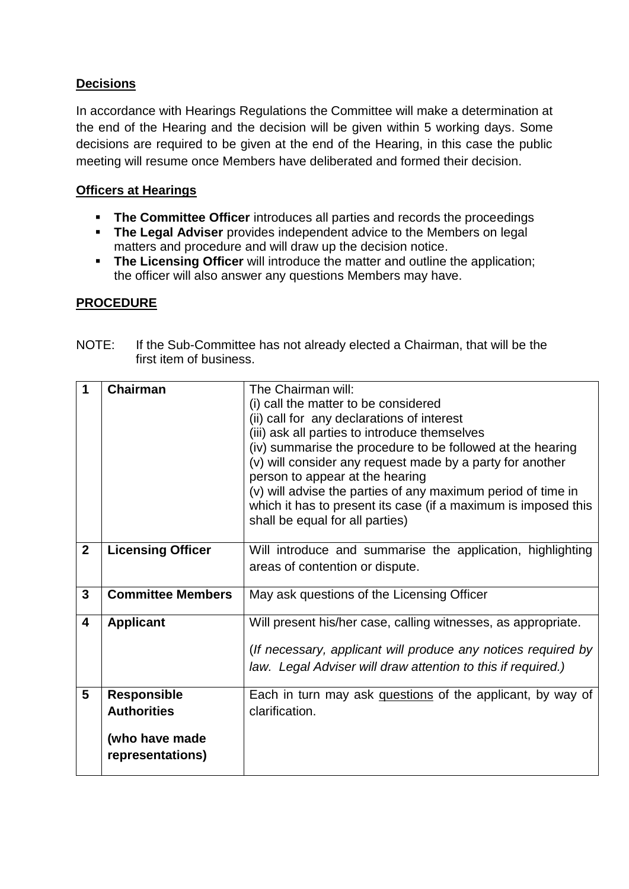# **Decisions**

In accordance with Hearings Regulations the Committee will make a determination at the end of the Hearing and the decision will be given within 5 working days. Some decisions are required to be given at the end of the Hearing, in this case the public meeting will resume once Members have deliberated and formed their decision.

### **Officers at Hearings**

- **The Committee Officer** introduces all parties and records the proceedings
- **The Legal Adviser** provides independent advice to the Members on legal matters and procedure and will draw up the decision notice.
- **The Licensing Officer** will introduce the matter and outline the application; the officer will also answer any questions Members may have.

## **PROCEDURE**

| 1                       | <b>Chairman</b>          | The Chairman will:                                             |
|-------------------------|--------------------------|----------------------------------------------------------------|
|                         |                          | (i) call the matter to be considered                           |
|                         |                          | (ii) call for any declarations of interest                     |
|                         |                          | (iii) ask all parties to introduce themselves                  |
|                         |                          | (iv) summarise the procedure to be followed at the hearing     |
|                         |                          | (v) will consider any request made by a party for another      |
|                         |                          |                                                                |
|                         |                          | person to appear at the hearing                                |
|                         |                          | (v) will advise the parties of any maximum period of time in   |
|                         |                          | which it has to present its case (if a maximum is imposed this |
|                         |                          | shall be equal for all parties)                                |
|                         |                          |                                                                |
| $\mathbf{2}$            | <b>Licensing Officer</b> | Will introduce and summarise the application, highlighting     |
|                         |                          | areas of contention or dispute.                                |
|                         |                          |                                                                |
| $\mathbf{3}$            | <b>Committee Members</b> | May ask questions of the Licensing Officer                     |
|                         |                          |                                                                |
| $\overline{\mathbf{4}}$ | <b>Applicant</b>         | Will present his/her case, calling witnesses, as appropriate.  |
|                         |                          |                                                                |
|                         |                          | (If necessary, applicant will produce any notices required by  |
|                         |                          | law. Legal Adviser will draw attention to this if required.)   |
|                         |                          |                                                                |
| 5                       | <b>Responsible</b>       | Each in turn may ask questions of the applicant, by way of     |
|                         | <b>Authorities</b>       | clarification.                                                 |
|                         |                          |                                                                |
|                         |                          |                                                                |
|                         | (who have made           |                                                                |
|                         | representations)         |                                                                |
|                         |                          |                                                                |

NOTE: If the Sub-Committee has not already elected a Chairman, that will be the first item of business.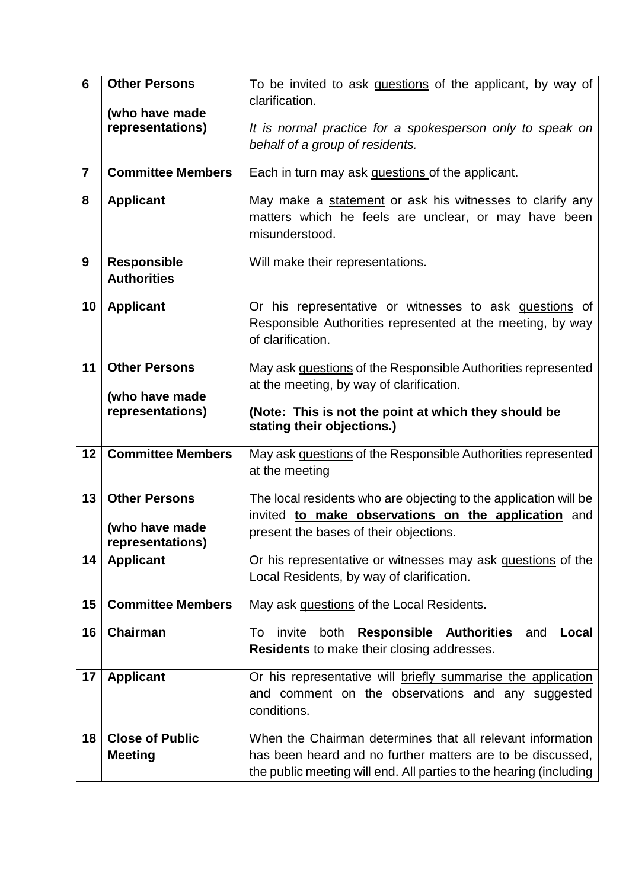| 6              | <b>Other Persons</b>               | To be invited to ask questions of the applicant, by way of                                                                  |
|----------------|------------------------------------|-----------------------------------------------------------------------------------------------------------------------------|
|                |                                    | clarification.                                                                                                              |
|                | (who have made<br>representations) | It is normal practice for a spokesperson only to speak on                                                                   |
|                |                                    | behalf of a group of residents.                                                                                             |
|                |                                    |                                                                                                                             |
| $\overline{7}$ | <b>Committee Members</b>           | Each in turn may ask questions of the applicant.                                                                            |
| 8              | <b>Applicant</b>                   | May make a statement or ask his witnesses to clarify any                                                                    |
|                |                                    | matters which he feels are unclear, or may have been                                                                        |
|                |                                    | misunderstood.                                                                                                              |
| 9              | <b>Responsible</b>                 | Will make their representations.                                                                                            |
|                | <b>Authorities</b>                 |                                                                                                                             |
| 10             | <b>Applicant</b>                   | Or his representative or witnesses to ask questions of                                                                      |
|                |                                    | Responsible Authorities represented at the meeting, by way                                                                  |
|                |                                    | of clarification.                                                                                                           |
|                |                                    |                                                                                                                             |
| 11             | <b>Other Persons</b>               | May ask questions of the Responsible Authorities represented                                                                |
|                | (who have made                     | at the meeting, by way of clarification.                                                                                    |
|                | representations)                   | (Note: This is not the point at which they should be                                                                        |
|                |                                    | stating their objections.)                                                                                                  |
| 12             | <b>Committee Members</b>           | May ask questions of the Responsible Authorities represented                                                                |
|                |                                    | at the meeting                                                                                                              |
|                |                                    |                                                                                                                             |
| 13             | <b>Other Persons</b>               | The local residents who are objecting to the application will be<br>invited to make observations on the application and     |
|                | (who have made                     | present the bases of their objections.                                                                                      |
|                | representations)                   |                                                                                                                             |
| 14             | <b>Applicant</b>                   | Or his representative or witnesses may ask questions of the                                                                 |
|                |                                    | Local Residents, by way of clarification.                                                                                   |
| 15             | <b>Committee Members</b>           | May ask questions of the Local Residents.                                                                                   |
|                | <b>Chairman</b>                    |                                                                                                                             |
| 16             |                                    | <b>Responsible Authorities</b><br>invite<br>Local<br>To<br>both<br>and<br><b>Residents</b> to make their closing addresses. |
|                |                                    |                                                                                                                             |
| 17             | <b>Applicant</b>                   | Or his representative will briefly summarise the application                                                                |
|                |                                    | and comment on the observations and any suggested                                                                           |
|                |                                    | conditions.                                                                                                                 |
| 18             | <b>Close of Public</b>             | When the Chairman determines that all relevant information                                                                  |
|                | <b>Meeting</b>                     | has been heard and no further matters are to be discussed,                                                                  |
|                |                                    | the public meeting will end. All parties to the hearing (including                                                          |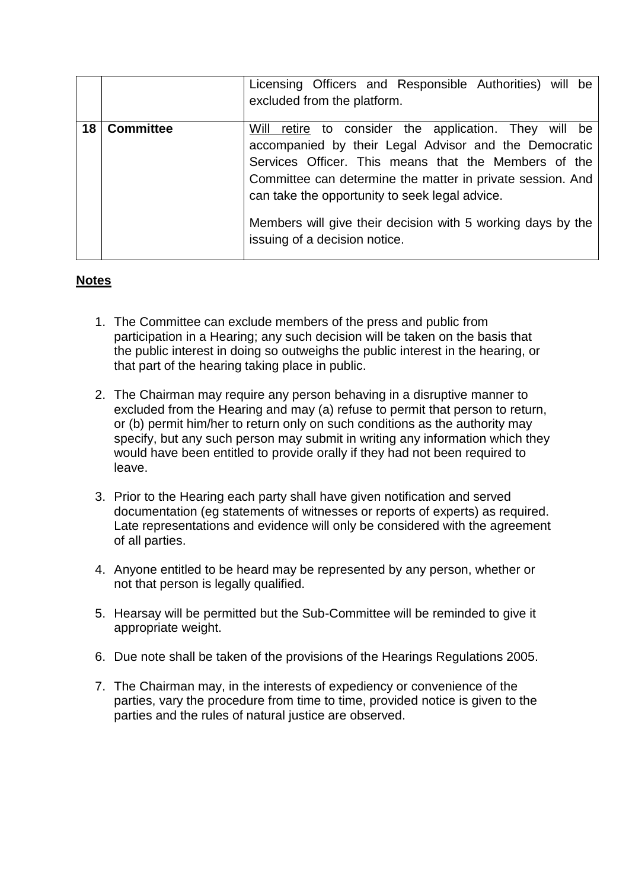|    |                  | Licensing Officers and Responsible Authorities) will be<br>excluded from the platform.                                                                                                                                                                                                                                                                                                 |
|----|------------------|----------------------------------------------------------------------------------------------------------------------------------------------------------------------------------------------------------------------------------------------------------------------------------------------------------------------------------------------------------------------------------------|
| 18 | <b>Committee</b> | Will retire to consider the application. They will be<br>accompanied by their Legal Advisor and the Democratic<br>Services Officer. This means that the Members of the<br>Committee can determine the matter in private session. And<br>can take the opportunity to seek legal advice.<br>Members will give their decision with 5 working days by the<br>issuing of a decision notice. |

#### **Notes**

- 1. The Committee can exclude members of the press and public from participation in a Hearing; any such decision will be taken on the basis that the public interest in doing so outweighs the public interest in the hearing, or that part of the hearing taking place in public.
- 2. The Chairman may require any person behaving in a disruptive manner to excluded from the Hearing and may (a) refuse to permit that person to return, or (b) permit him/her to return only on such conditions as the authority may specify, but any such person may submit in writing any information which they would have been entitled to provide orally if they had not been required to leave.
- 3. Prior to the Hearing each party shall have given notification and served documentation (eg statements of witnesses or reports of experts) as required. Late representations and evidence will only be considered with the agreement of all parties.
- 4. Anyone entitled to be heard may be represented by any person, whether or not that person is legally qualified.
- 5. Hearsay will be permitted but the Sub-Committee will be reminded to give it appropriate weight.
- 6. Due note shall be taken of the provisions of the Hearings Regulations 2005.
- 7. The Chairman may, in the interests of expediency or convenience of the parties, vary the procedure from time to time, provided notice is given to the parties and the rules of natural justice are observed.